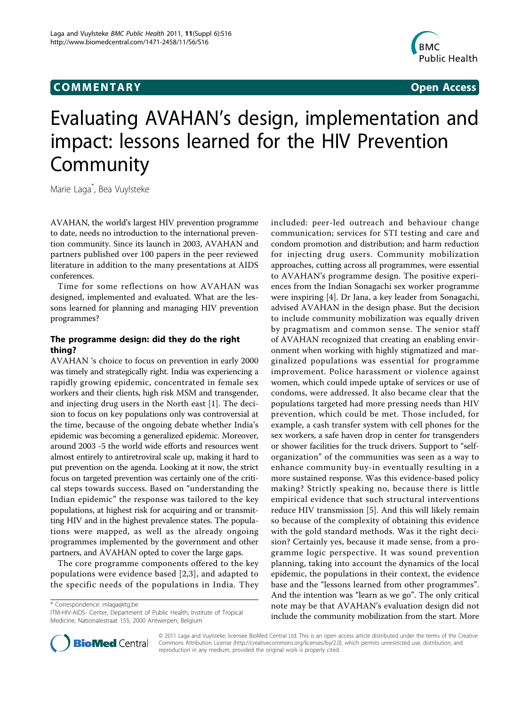# COMM EN TARY Open Access



# Evaluating AVAHAN's design, implementation and impact: lessons learned for the HIV Prevention **Community**

Marie Laga\* , Bea Vuylsteke

AVAHAN, the world's largest HIV prevention programme to date, needs no introduction to the international prevention community. Since its launch in 2003, AVAHAN and partners published over 100 papers in the peer reviewed literature in addition to the many presentations at AIDS conferences.

Time for some reflections on how AVAHAN was designed, implemented and evaluated. What are the lessons learned for planning and managing HIV prevention programmes?

## The programme design: did they do the right thing?

AVAHAN 's choice to focus on prevention in early 2000 was timely and strategically right. India was experiencing a rapidly growing epidemic, concentrated in female sex workers and their clients, high risk MSM and transgender, and injecting drug users in the North east [\[1](#page-2-0)]. The decision to focus on key populations only was controversial at the time, because of the ongoing debate whether India's epidemic was becoming a generalized epidemic. Moreover, around 2003 -5 the world wide efforts and resources went almost entirely to antiretroviral scale up, making it hard to put prevention on the agenda. Looking at it now, the strict focus on targeted prevention was certainly one of the critical steps towards success. Based on "understanding the Indian epidemic" the response was tailored to the key populations, at highest risk for acquiring and or transmitting HIV and in the highest prevalence states. The populations were mapped, as well as the already ongoing programmes implemented by the government and other partners, and AVAHAN opted to cover the large gaps.

The core programme components offered to the key populations were evidence based [[2,3](#page-2-0)], and adapted to the specific needs of the populations in India. They

\* Correspondence: [mlaga@itg.be](mailto:mlaga@itg.be)

included: peer-led outreach and behaviour change communication; services for STI testing and care and condom promotion and distribution; and harm reduction for injecting drug users. Community mobilization approaches, cutting across all programmes, were essential to AVAHAN's programme design. The positive experiences from the Indian Sonagachi sex worker programme were inspiring [[4\]](#page-2-0). Dr Jana, a key leader from Sonagachi, advised AVAHAN in the design phase. But the decision to include community mobilization was equally driven by pragmatism and common sense. The senior staff of AVAHAN recognized that creating an enabling environment when working with highly stigmatized and marginalized populations was essential for programme improvement. Police harassment or violence against women, which could impede uptake of services or use of condoms, were addressed. It also became clear that the populations targeted had more pressing needs than HIV prevention, which could be met. Those included, for example, a cash transfer system with cell phones for the sex workers, a safe haven drop in center for transgenders or shower facilities for the truck drivers. Support to "selforganization" of the communities was seen as a way to enhance community buy-in eventually resulting in a more sustained response. Was this evidence-based policy making? Strictly speaking no, because there is little empirical evidence that such structural interventions reduce HIV transmission [\[5](#page-2-0)]. And this will likely remain so because of the complexity of obtaining this evidence with the gold standard methods. Was it the right decision? Certainly yes, because it made sense, from a programme logic perspective. It was sound prevention planning, taking into account the dynamics of the local epidemic, the populations in their context, the evidence base and the "lessons learned from other programmes". And the intention was "learn as we go". The only critical note may be that AVAHAN's evaluation design did not include the community mobilization from the start. More



© 2011 Laga and Vuylsteke; licensee BioMed Central Ltd. This is an open access article distributed under the terms of the Creative Commons Attribution License [\(http://creativecommons.org/licenses/by/2.0](http://creativecommons.org/licenses/by/2.0)), which permits unrestricted use, distribution, and reproduction in any medium, provided the original work is properly cited.

ITM-HIV-AIDS- Center, Department of Public Health, Institute of Tropical Medicine, Nationalestraat 155, 2000 Antwerpen, Belgium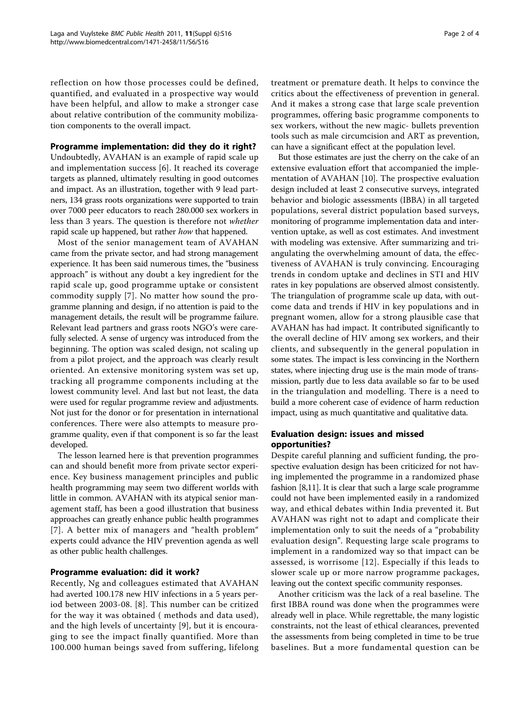reflection on how those processes could be defined, quantified, and evaluated in a prospective way would have been helpful, and allow to make a stronger case about relative contribution of the community mobilization components to the overall impact.

### Programme implementation: did they do it right?

Undoubtedly, AVAHAN is an example of rapid scale up and implementation success [[6\]](#page-2-0). It reached its coverage targets as planned, ultimately resulting in good outcomes and impact. As an illustration, together with 9 lead partners, 134 grass roots organizations were supported to train over 7000 peer educators to reach 280.000 sex workers in less than 3 years. The question is therefore not whether rapid scale up happened, but rather *how* that happened.

Most of the senior management team of AVAHAN came from the private sector, and had strong management experience. It has been said numerous times, the "business approach" is without any doubt a key ingredient for the rapid scale up, good programme uptake or consistent commodity supply [[7](#page-2-0)]. No matter how sound the programme planning and design, if no attention is paid to the management details, the result will be programme failure. Relevant lead partners and grass roots NGO's were carefully selected. A sense of urgency was introduced from the beginning. The option was scaled design, not scaling up from a pilot project, and the approach was clearly result oriented. An extensive monitoring system was set up, tracking all programme components including at the lowest community level. And last but not least, the data were used for regular programme review and adjustments. Not just for the donor or for presentation in international conferences. There were also attempts to measure programme quality, even if that component is so far the least developed.

The lesson learned here is that prevention programmes can and should benefit more from private sector experience. Key business management principles and public health programming may seem two different worlds with little in common. AVAHAN with its atypical senior management staff, has been a good illustration that business approaches can greatly enhance public health programmes [[7](#page-2-0)]. A better mix of managers and "health problem" experts could advance the HIV prevention agenda as well as other public health challenges.

# Programme evaluation: did it work?

Recently, Ng and colleagues estimated that AVAHAN had averted 100.178 new HIV infections in a 5 years period between 2003-08. [[8](#page-2-0)]. This number can be critized for the way it was obtained ( methods and data used), and the high levels of uncertainty [\[9](#page-3-0)], but it is encouraging to see the impact finally quantified. More than 100.000 human beings saved from suffering, lifelong treatment or premature death. It helps to convince the critics about the effectiveness of prevention in general. And it makes a strong case that large scale prevention programmes, offering basic programme components to sex workers, without the new magic- bullets prevention tools such as male circumcision and ART as prevention, can have a significant effect at the population level.

But those estimates are just the cherry on the cake of an extensive evaluation effort that accompanied the implementation of AVAHAN [\[10](#page-3-0)]. The prospective evaluation design included at least 2 consecutive surveys, integrated behavior and biologic assessments (IBBA) in all targeted populations, several district population based surveys, monitoring of programme implementation data and intervention uptake, as well as cost estimates. And investment with modeling was extensive. After summarizing and triangulating the overwhelming amount of data, the effectiveness of AVAHAN is truly convincing. Encouraging trends in condom uptake and declines in STI and HIV rates in key populations are observed almost consistently. The triangulation of programme scale up data, with outcome data and trends if HIV in key populations and in pregnant women, allow for a strong plausible case that AVAHAN has had impact. It contributed significantly to the overall decline of HIV among sex workers, and their clients, and subsequently in the general population in some states. The impact is less convincing in the Northern states, where injecting drug use is the main mode of transmission, partly due to less data available so far to be used in the triangulation and modelling. There is a need to build a more coherent case of evidence of harm reduction impact, using as much quantitative and qualitative data.

# Evaluation design: issues and missed opportunities?

Despite careful planning and sufficient funding, the prospective evaluation design has been criticized for not having implemented the programme in a randomized phase fashion [\[8,](#page-2-0)[11](#page-3-0)]. It is clear that such a large scale programme could not have been implemented easily in a randomized way, and ethical debates within India prevented it. But AVAHAN was right not to adapt and complicate their implementation only to suit the needs of a "probability evaluation design". Requesting large scale programs to implement in a randomized way so that impact can be assessed, is worrisome [[12](#page-3-0)]. Especially if this leads to slower scale up or more narrow programme packages, leaving out the context specific community responses.

Another criticism was the lack of a real baseline. The first IBBA round was done when the programmes were already well in place. While regrettable, the many logistic constraints, not the least of ethical clearances, prevented the assessments from being completed in time to be true baselines. But a more fundamental question can be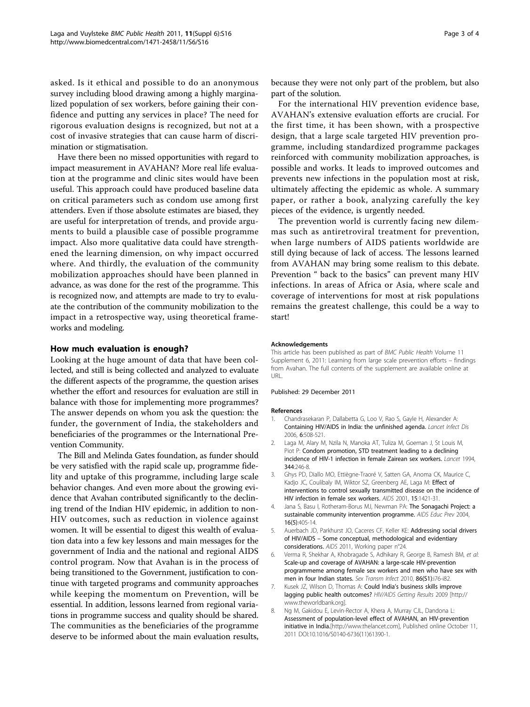<span id="page-2-0"></span>asked. Is it ethical and possible to do an anonymous survey including blood drawing among a highly marginalized population of sex workers, before gaining their confidence and putting any services in place? The need for rigorous evaluation designs is recognized, but not at a cost of invasive strategies that can cause harm of discrimination or stigmatisation.

Have there been no missed opportunities with regard to impact measurement in AVAHAN? More real life evaluation at the programme and clinic sites would have been useful. This approach could have produced baseline data on critical parameters such as condom use among first attenders. Even if those absolute estimates are biased, they are useful for interpretation of trends, and provide arguments to build a plausible case of possible programme impact. Also more qualitative data could have strengthened the learning dimension, on why impact occurred where. And thirdly, the evaluation of the community mobilization approaches should have been planned in advance, as was done for the rest of the programme. This is recognized now, and attempts are made to try to evaluate the contribution of the community mobilization to the impact in a retrospective way, using theoretical frameworks and modeling.

#### How much evaluation is enough?

Looking at the huge amount of data that have been collected, and still is being collected and analyzed to evaluate the different aspects of the programme, the question arises whether the effort and resources for evaluation are still in balance with those for implementing more programmes? The answer depends on whom you ask the question: the funder, the government of India, the stakeholders and beneficiaries of the programmes or the International Prevention Community.

The Bill and Melinda Gates foundation, as funder should be very satisfied with the rapid scale up, programme fidelity and uptake of this programme, including large scale behavior changes. And even more about the growing evidence that Avahan contributed significantly to the declining trend of the Indian HIV epidemic, in addition to non-HIV outcomes, such as reduction in violence against women. It will be essential to digest this wealth of evaluation data into a few key lessons and main messages for the government of India and the national and regional AIDS control program. Now that Avahan is in the process of being transitioned to the Government, justification to continue with targeted programs and community approaches while keeping the momentum on Prevention, will be essential. In addition, lessons learned from regional variations in programme success and quality should be shared. The communities as the beneficiaries of the programme deserve to be informed about the main evaluation results, because they were not only part of the problem, but also part of the solution.

For the international HIV prevention evidence base, AVAHAN's extensive evaluation efforts are crucial. For the first time, it has been shown, with a prospective design, that a large scale targeted HIV prevention programme, including standardized programme packages reinforced with community mobilization approaches, is possible and works. It leads to improved outcomes and prevents new infections in the population most at risk, ultimately affecting the epidemic as whole. A summary paper, or rather a book, analyzing carefully the key pieces of the evidence, is urgently needed.

The prevention world is currently facing new dilemmas such as antiretroviral treatment for prevention, when large numbers of AIDS patients worldwide are still dying because of lack of access. The lessons learned from AVAHAN may bring some realism to this debate. Prevention " back to the basics" can prevent many HIV infections. In areas of Africa or Asia, where scale and coverage of interventions for most at risk populations remains the greatest challenge, this could be a way to start!

#### Acknowledgements

This article has been published as part of BMC Public Health Volume 11 Supplement 6, 2011: Learning from large scale prevention efforts – findings from Avahan. The full contents of the supplement are available online at **URL** 

#### Published: 29 December 2011

#### References

- 1. Chandrasekaran P, Dallabetta G, Loo V, Rao S, Gayle H, Alexander A: [Containing HIV/AIDS in India: the unfinished agenda.](http://www.ncbi.nlm.nih.gov/pubmed/16870529?dopt=Abstract) Lancet Infect Dis 2006, 6:508-521.
- 2. Laga M, Alary M, Nzila N, Manoka AT, Tuliza M, Goeman J, St Louis M, Piot P: [Condom promotion, STD treatment leading to a declining](http://www.ncbi.nlm.nih.gov/pubmed/7913164?dopt=Abstract) [incidence of HIV-1 infection in female Zairean sex workers.](http://www.ncbi.nlm.nih.gov/pubmed/7913164?dopt=Abstract) Lancet 1994, 344:246-8.
- 3. Ghys PD, Diallo MO, Ettiègne-Traoré V, Satten GA, Anoma CK, Maurice C, Kadjo JC, Coulibaly IM, Wiktor SZ, Greenberg AE, Laga M: [Effect of](http://www.ncbi.nlm.nih.gov/pubmed/11504964?dopt=Abstract) [interventions to control sexually transmitted disease on the incidence of](http://www.ncbi.nlm.nih.gov/pubmed/11504964?dopt=Abstract) [HIV infection in female sex workers.](http://www.ncbi.nlm.nih.gov/pubmed/11504964?dopt=Abstract) AIDS 2001, 15:1421-31.
- 4. Jana S, Basu I, Rotheram-Borus MJ, Newman PA: [The Sonagachi Project: a](http://www.ncbi.nlm.nih.gov/pubmed/15491952?dopt=Abstract) [sustainable community intervention programme.](http://www.ncbi.nlm.nih.gov/pubmed/15491952?dopt=Abstract) AIDS Educ Prev 2004, 16(5):405-14.
- 5. Auerbach JD, Parkhurst JO, Caceres CF, Keller KE: Addressing social drivers of HIV/AIDS – Some conceptual, methodological and evidentiary considerations. AIDS 2011, Working paper n°24.
- 6. Verma R, Shekhar A, Khobragade S, Adhikary R, George B, Ramesh BM, et al: [Scale-up and coverage of AVAHAN: a large-scale HIV-prevention](http://www.ncbi.nlm.nih.gov/pubmed/20167737?dopt=Abstract) [programmeme among female sex workers and men who have sex with](http://www.ncbi.nlm.nih.gov/pubmed/20167737?dopt=Abstract) [men in four Indian states.](http://www.ncbi.nlm.nih.gov/pubmed/20167737?dopt=Abstract) Sex Transm Infect 2010, 86(S1):i76-i82.
- 7. Kusek JZ, Wilson D, Thomas A: Could India's business skills improve lagging public health outcomes? HIV/AIDS Getting Results 2009 [[http://](http://www.theworldbank.org) [www.theworldbank.org](http://www.theworldbank.org)].
- 8. Ng M, Gakidou E, Levin-Rector A, Khera A, Murray CJL, Dandona L: Assessment of population-level effect of AVAHAN, an HIV-prevention initiative in India.[\[http://www.thelancet.com\]](http://www.thelancet.com), Published online October 11, 2011 DOI:10.1016/S0140-6736(11)61390-1.